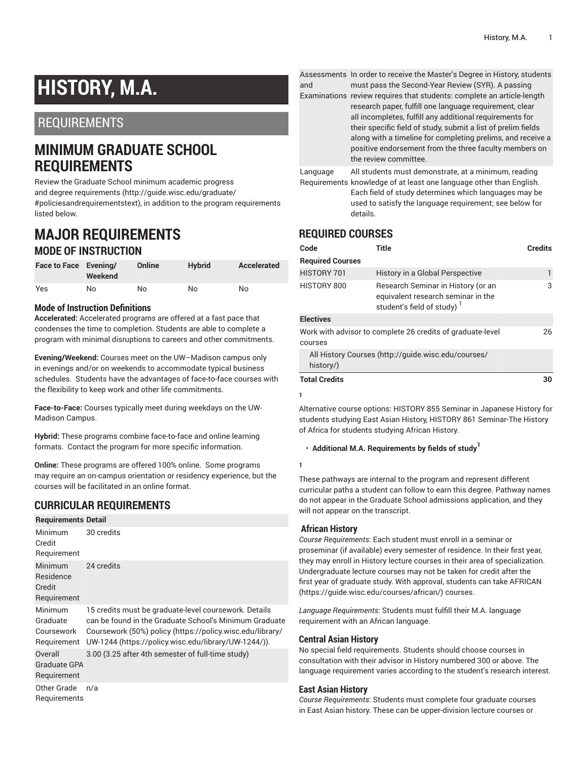# **HISTORY, M.A.**

# REQUIREMENTS

# **MINIMUM GRADUATE SCHOOL REQUIREMENTS**

Review the Graduate School minimum [academic](http://guide.wisc.edu/graduate/#policiesandrequirementstext) progress and degree [requirements](http://guide.wisc.edu/graduate/#policiesandrequirementstext) [\(http://guide.wisc.edu/graduate/](http://guide.wisc.edu/graduate/#policiesandrequirementstext) [#policiesandrequirementstext\)](http://guide.wisc.edu/graduate/#policiesandrequirementstext), in addition to the program requirements listed below.

# **MAJOR REQUIREMENTS MODE OF INSTRUCTION**

| Face to Face Evening/ | Weekend | Online | <b>Hybrid</b> | Accelerated |
|-----------------------|---------|--------|---------------|-------------|
| Yes                   | No      | No     | No            | No          |

# **Mode of Instruction Definitions**

**Accelerated:** Accelerated programs are offered at a fast pace that condenses the time to completion. Students are able to complete a program with minimal disruptions to careers and other commitments.

**Evening/Weekend:** Courses meet on the UW–Madison campus only in evenings and/or on weekends to accommodate typical business schedules. Students have the advantages of face-to-face courses with the flexibility to keep work and other life commitments.

**Face-to-Face:** Courses typically meet during weekdays on the UW-Madison Campus.

**Hybrid:** These programs combine face-to-face and online learning formats. Contact the program for more specific information.

**Online:** These programs are offered 100% online. Some programs may require an on-campus orientation or residency experience, but the courses will be facilitated in an online format.

# **CURRICULAR REQUIREMENTS**

| <b>Requirements Detail</b>                       |                                                                                                                                                                                                                                      |  |  |  |
|--------------------------------------------------|--------------------------------------------------------------------------------------------------------------------------------------------------------------------------------------------------------------------------------------|--|--|--|
| Minimum<br>Credit<br>Requirement                 | 30 credits                                                                                                                                                                                                                           |  |  |  |
| Minimum<br>Residence<br>Credit<br>Requirement    | 24 credits                                                                                                                                                                                                                           |  |  |  |
| Minimum<br>Graduate<br>Coursework<br>Requirement | 15 credits must be graduate-level coursework. Details<br>can be found in the Graduate School's Minimum Graduate<br>Coursework (50%) policy (https://policy.wisc.edu/library/<br>UW-1244 (https://policy.wisc.edu/library/UW-1244/)). |  |  |  |
| Overall<br>Graduate GPA<br>Requirement           | 3.00 (3.25 after 4th semester of full-time study)                                                                                                                                                                                    |  |  |  |
| Other Grade<br>Requirements                      | n/a                                                                                                                                                                                                                                  |  |  |  |

Assessments In order to receive the Master's Degree in History, students and must pass the Second-Year Review (SYR). A passing

Examinations review requires that students: complete an article-length research paper, fulfill one language requirement, clear all incompletes, fulfill any additional requirements for their specific field of study, submit a list of prelim fields along with a timeline for completing prelims, and receive a positive endorsement from the three faculty members on the review committee.

Language All students must demonstrate, at a minimum, reading

Requirements knowledge of at least one language other than English. Each field of study determines which languages may be used to satisfy the language requirement; see below for details.

# **REQUIRED COURSES**

| Code                                                                  | Title                                                                                                              | <b>Credits</b> |  |  |
|-----------------------------------------------------------------------|--------------------------------------------------------------------------------------------------------------------|----------------|--|--|
| <b>Required Courses</b>                                               |                                                                                                                    |                |  |  |
| HISTORY 701                                                           | History in a Global Perspective                                                                                    | 1              |  |  |
| HISTORY 800                                                           | Research Seminar in History (or an<br>equivalent research seminar in the<br>student's field of study) <sup>1</sup> | 3              |  |  |
| <b>Electives</b>                                                      |                                                                                                                    |                |  |  |
| Work with advisor to complete 26 credits of graduate-level<br>courses |                                                                                                                    |                |  |  |
| All History Courses (http://guide.wisc.edu/courses/<br>history/)      |                                                                                                                    |                |  |  |
| <b>Total Credits</b>                                                  |                                                                                                                    | 30             |  |  |

Alternative course options: HISTORY 855 Seminar in Japanese History for students studying East Asian History, HISTORY 861 Seminar-The History of Africa for students studying African History.

## • **Additional M.A. Requirements by fields of study 1**

These pathways are internal to the program and represent different curricular paths a student can follow to earn this degree. Pathway names do not appear in the Graduate School admissions application, and they will not appear on the transcript.

## **African History**

**1**

**1**

*Course Requirements*: Each student must enroll in a seminar or proseminar (if available) every semester of residence. In their first year, they may enroll in History lecture courses in their area of specialization. Undergraduate lecture courses may not be taken for credit after the first year of graduate study. With approval, students can take [AFRICAN](https://guide.wisc.edu/courses/african/) [\(https://guide.wisc.edu/courses/african/](https://guide.wisc.edu/courses/african/)) courses.

*Language Requirements*: Students must fulfill their M.A. language requirement with an African language.

## **Central Asian History**

No special field requirements. Students should choose courses in consultation with their advisor in History numbered 300 or above. The language requirement varies according to the student's research interest.

## **East Asian History**

*Course Requirements*: Students must complete four graduate courses in East Asian history. These can be upper-division lecture courses or